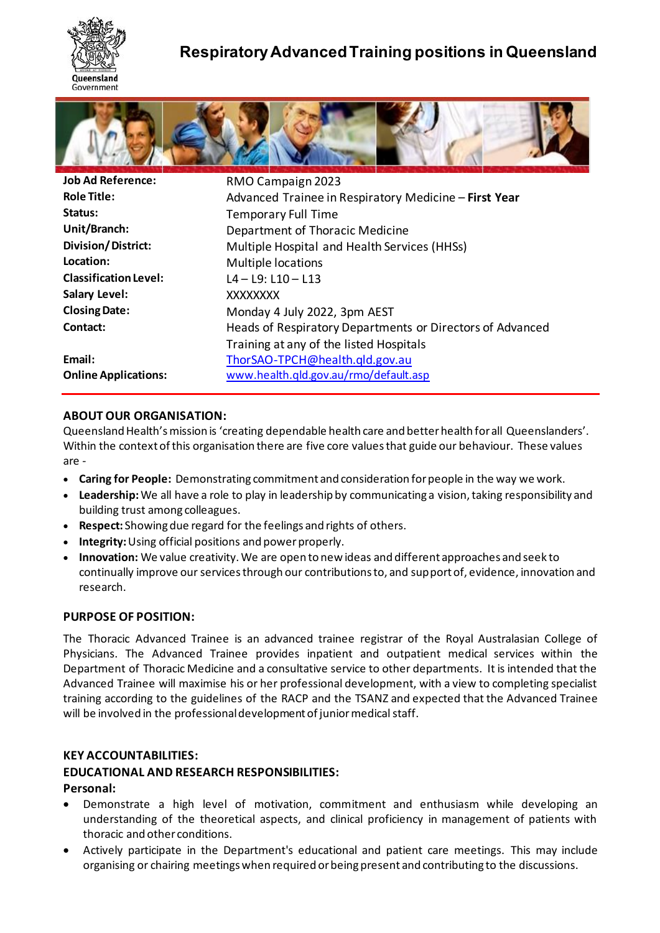

# **Respiratory Advanced Training positions in Queensland**



| <b>Job Ad Reference:</b>     | RMO Campaign 2023                                         |
|------------------------------|-----------------------------------------------------------|
| <b>Role Title:</b>           | Advanced Trainee in Respiratory Medicine - First Year     |
| Status:                      | <b>Temporary Full Time</b>                                |
| Unit/Branch:                 | Department of Thoracic Medicine                           |
| <b>Division/District:</b>    | Multiple Hospital and Health Services (HHSs)              |
| Location:                    | Multiple locations                                        |
| <b>Classification Level:</b> | $L4 - L9$ : $L10 - L13$                                   |
| <b>Salary Level:</b>         | XXXXXXXX                                                  |
| <b>Closing Date:</b>         | Monday 4 July 2022, 3pm AEST                              |
| Contact:                     | Heads of Respiratory Departments or Directors of Advanced |
|                              | Training at any of the listed Hospitals                   |
| Email:                       | ThorSAO-TPCH@health.qld.gov.au                            |
| <b>Online Applications:</b>  | www.health.qld.gov.au/rmo/default.asp                     |

### **ABOUT OUR ORGANISATION:**

Queensland Health's mission is 'creating dependable health care and better health for all Queenslanders'. Within the context of this organisation there are five core values that guide our behaviour. These values are -

- **Caring for People:** Demonstrating commitment and consideration for people in the way we work.
- **Leadership:**We all have a role to play in leadership by communicating a vision, taking responsibility and building trust among colleagues.
- **Respect:** Showing due regard for the feelings and rights of others.
- **Integrity:** Using official positions and power properly.
- **Innovation:** We value creativity. We are open to new ideas and different approaches and seek to continually improve our services through our contributions to, and support of, evidence, innovation and research.

### **PURPOSE OF POSITION:**

The Thoracic Advanced Trainee is an advanced trainee registrar of the Royal Australasian College of Physicians. The Advanced Trainee provides inpatient and outpatient medical services within the Department of Thoracic Medicine and a consultative service to other departments. It is intended that the Advanced Trainee will maximise his or her professional development, with a view to completing specialist training according to the guidelines of the RACP and the TSANZ and expected that the Advanced Trainee will be involved in the professional development of junior medical staff.

### **KEY ACCOUNTABILITIES:**

### **EDUCATIONAL AND RESEARCH RESPONSIBILITIES:**

### **Personal:**

- Demonstrate a high level of motivation, commitment and enthusiasm while developing an understanding of the theoretical aspects, and clinical proficiency in management of patients with thoracic and other conditions.
- Actively participate in the Department's educational and patient care meetings. This may include organising or chairing meetings when required or being present and contributing to the discussions.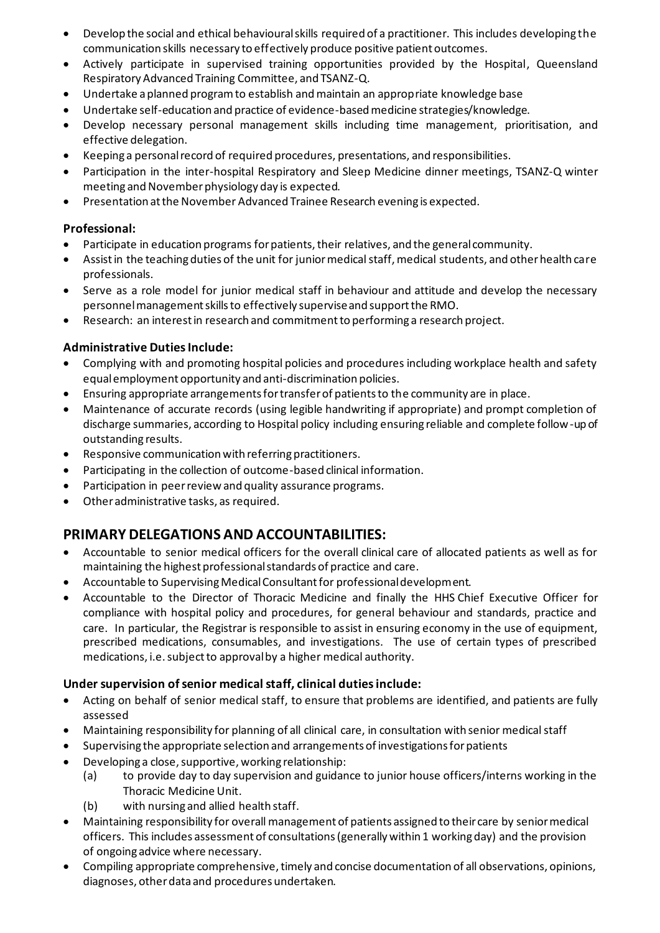- Develop the social and ethical behavioural skills required of a practitioner. This includes developing the communication skills necessary to effectively produce positive patient outcomes.
- Actively participate in supervised training opportunities provided by the Hospital, Queensland Respiratory Advanced Training Committee, and TSANZ-Q.
- Undertake a planned program to establish and maintain an appropriate knowledge base
- Undertake self-education and practice of evidence-based medicine strategies/knowledge.
- Develop necessary personal management skills including time management, prioritisation, and effective delegation.
- Keeping a personal record of required procedures, presentations, and responsibilities.
- Participation in the inter-hospital Respiratory and Sleep Medicine dinner meetings, TSANZ-Q winter meeting and November physiology day is expected.
- Presentation at the November Advanced Trainee Research evening is expected.

### **Professional:**

- Participate in education programs for patients, their relatives, and the general community.
- Assist in the teaching duties of the unit for junior medical staff, medical students, and other health care professionals.
- Serve as a role model for junior medical staff in behaviour and attitude and develop the necessary personnel management skills to effectively supervise and support the RMO.
- Research: an interest in research and commitment to performing a research project.

### **Administrative Duties Include:**

- Complying with and promoting hospital policies and procedures including workplace health and safety equal employment opportunity and anti-discrimination policies.
- Ensuring appropriate arrangements for transfer of patients to the community are in place.
- Maintenance of accurate records (using legible handwriting if appropriate) and prompt completion of discharge summaries, according to Hospital policy including ensuring reliable and complete follow-up of outstanding results.
- Responsive communication with referring practitioners.
- Participating in the collection of outcome-based clinical information.
- Participation in peer review and quality assurance programs.
- Other administrative tasks, as required.

# **PRIMARY DELEGATIONS AND ACCOUNTABILITIES:**

- Accountable to senior medical officers for the overall clinical care of allocated patients as well as for maintaining the highest professional standards of practice and care.
- Accountable to Supervising Medical Consultant for professional development.
- Accountable to the Director of Thoracic Medicine and finally the HHS Chief Executive Officer for compliance with hospital policy and procedures, for general behaviour and standards, practice and care. In particular, the Registrar is responsible to assist in ensuring economy in the use of equipment, prescribed medications, consumables, and investigations. The use of certain types of prescribed medications, i.e.subject to approval by a higher medical authority.

### **Under supervision of senior medical staff, clinical duties include:**

- Acting on behalf of senior medical staff, to ensure that problems are identified, and patients are fully assessed
- Maintaining responsibility for planning of all clinical care, in consultation with senior medical staff
- Supervising the appropriate selection and arrangements of investigations for patients
- Developing a close, supportive, working relationship:
	- (a) to provide day to day supervision and guidance to junior house officers/interns working in the Thoracic Medicine Unit.
	- (b) with nursing and allied health staff.
- Maintaining responsibility for overall management of patients assigned to their care by senior medical officers. This includes assessment of consultations (generally within 1 working day) and the provision of ongoing advice where necessary.
- Compiling appropriate comprehensive, timely and concise documentation of all observations, opinions, diagnoses, other data and procedures undertaken.